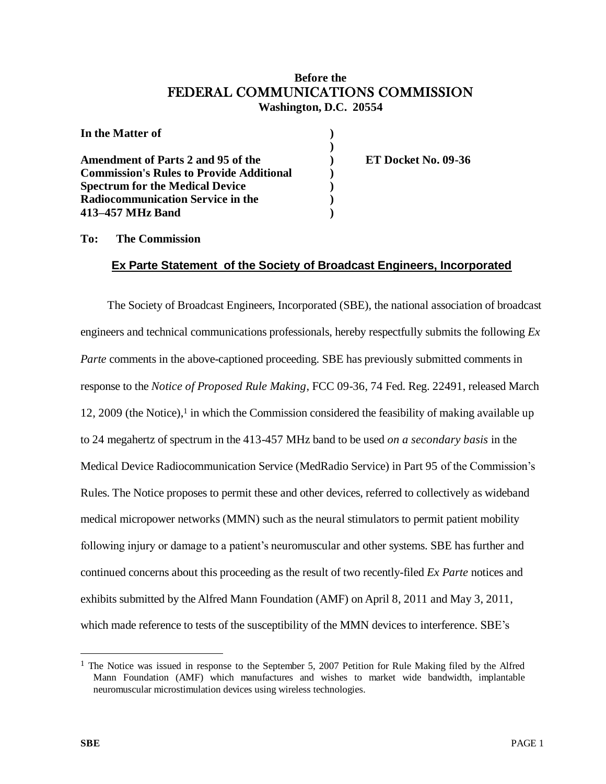## **Before the** FEDERAL COMMUNICATIONS COMMISSION **Washington, D.C. 20554**

| In the Matter of                                |  |
|-------------------------------------------------|--|
| <b>Amendment of Parts 2 and 95 of the</b>       |  |
| <b>Commission's Rules to Provide Additional</b> |  |
| <b>Spectrum for the Medical Device</b>          |  |
| <b>Radiocommunication Service in the</b>        |  |
| 413-457 MHz Band                                |  |

**ET Docket No. 09-36** 

## **To: The Commission**

## **Ex Parte Statement of the Society of Broadcast Engineers, Incorporated**

The Society of Broadcast Engineers, Incorporated (SBE), the national association of broadcast engineers and technical communications professionals, hereby respectfully submits the following *Ex Parte* comments in the above-captioned proceeding. SBE has previously submitted comments in response to the *Notice of Proposed Rule Making*, FCC 09-36, 74 Fed. Reg. 22491, released March 12, 2009 (the Notice), <sup>1</sup> in which the Commission considered the feasibility of making available up to 24 megahertz of spectrum in the 413-457 MHz band to be used *on a secondary basis* in the Medical Device Radiocommunication Service (MedRadio Service) in Part 95 of the Commission's Rules. The Notice proposes to permit these and other devices, referred to collectively as wideband medical micropower networks (MMN) such as the neural stimulators to permit patient mobility following injury or damage to a patient's neuromuscular and other systems. SBE has further and continued concerns about this proceeding as the result of two recently-filed *Ex Parte* notices and exhibits submitted by the Alfred Mann Foundation (AMF) on April 8, 2011 and May 3, 2011, which made reference to tests of the susceptibility of the MMN devices to interference. SBE's

 $\overline{a}$ 

<sup>&</sup>lt;sup>1</sup> The Notice was issued in response to the September 5, 2007 Petition for Rule Making filed by the Alfred Mann Foundation (AMF) which manufactures and wishes to market wide bandwidth, implantable neuromuscular microstimulation devices using wireless technologies.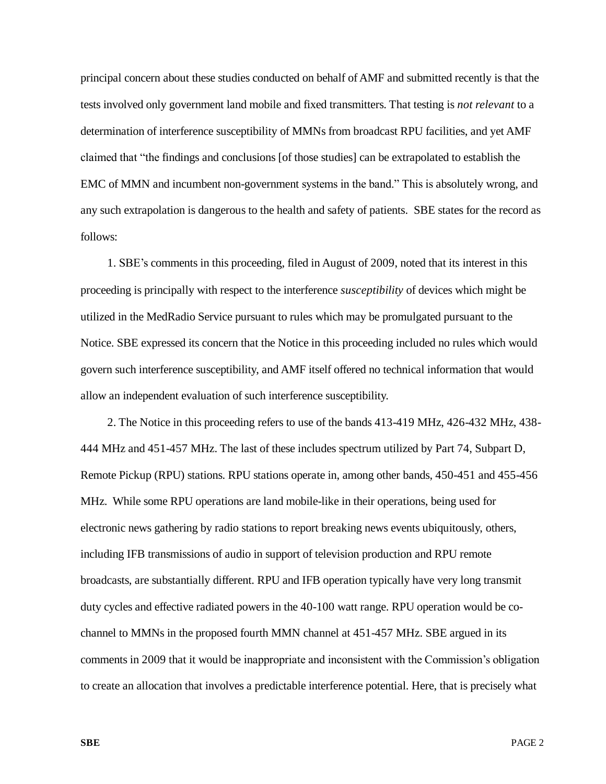principal concern about these studies conducted on behalf of AMF and submitted recently is that the tests involved only government land mobile and fixed transmitters. That testing is *not relevant* to a determination of interference susceptibility of MMNs from broadcast RPU facilities, and yet AMF claimed that "the findings and conclusions [of those studies] can be extrapolated to establish the EMC of MMN and incumbent non-government systems in the band." This is absolutely wrong, and any such extrapolation is dangerous to the health and safety of patients. SBE states for the record as follows:

1. SBE's comments in this proceeding, filed in August of 2009, noted that its interest in this proceeding is principally with respect to the interference *susceptibility* of devices which might be utilized in the MedRadio Service pursuant to rules which may be promulgated pursuant to the Notice. SBE expressed its concern that the Notice in this proceeding included no rules which would govern such interference susceptibility, and AMF itself offered no technical information that would allow an independent evaluation of such interference susceptibility.

2. The Notice in this proceeding refers to use of the bands 413-419 MHz, 426-432 MHz, 438- 444 MHz and 451-457 MHz. The last of these includes spectrum utilized by Part 74, Subpart D, Remote Pickup (RPU) stations. RPU stations operate in, among other bands, 450-451 and 455-456 MHz. While some RPU operations are land mobile-like in their operations, being used for electronic news gathering by radio stations to report breaking news events ubiquitously, others, including IFB transmissions of audio in support of television production and RPU remote broadcasts, are substantially different. RPU and IFB operation typically have very long transmit duty cycles and effective radiated powers in the 40-100 watt range. RPU operation would be cochannel to MMNs in the proposed fourth MMN channel at 451-457 MHz. SBE argued in its comments in 2009 that it would be inappropriate and inconsistent with the Commission's obligation to create an allocation that involves a predictable interference potential. Here, that is precisely what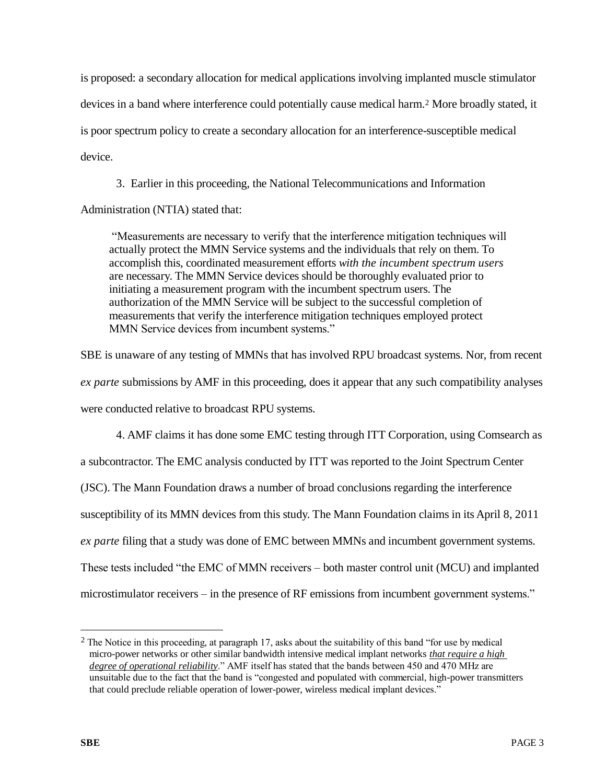is proposed: a secondary allocation for medical applications involving implanted muscle stimulator devices in a band where interference could potentially cause medical harm.<sup>2</sup> More broadly stated, it is poor spectrum policy to create a secondary allocation for an interference-susceptible medical device.

3. Earlier in this proceeding, the National Telecommunications and Information

Administration (NTIA) stated that:

"Measurements are necessary to verify that the interference mitigation techniques will actually protect the MMN Service systems and the individuals that rely on them. To accomplish this, coordinated measurement efforts *with the incumbent spectrum users* are necessary. The MMN Service devices should be thoroughly evaluated prior to initiating a measurement program with the incumbent spectrum users. The authorization of the MMN Service will be subject to the successful completion of measurements that verify the interference mitigation techniques employed protect MMN Service devices from incumbent systems."

SBE is unaware of any testing of MMNs that has involved RPU broadcast systems. Nor, from recent *ex parte* submissions by AMF in this proceeding, does it appear that any such compatibility analyses were conducted relative to broadcast RPU systems.

4. AMF claims it has done some EMC testing through ITT Corporation, using Comsearch as a subcontractor. The EMC analysis conducted by ITT was reported to the Joint Spectrum Center (JSC). The Mann Foundation draws a number of broad conclusions regarding the interference susceptibility of its MMN devices from this study. The Mann Foundation claims in its April 8, 2011 *ex parte* filing that a study was done of EMC between MMNs and incumbent government systems. These tests included "the EMC of MMN receivers – both master control unit (MCU) and implanted microstimulator receivers – in the presence of RF emissions from incumbent government systems."

<sup>&</sup>lt;sup>2</sup> The Notice in this proceeding, at paragraph 17, asks about the suitability of this band "for use by medical" micro-power networks or other similar bandwidth intensive medical implant networks *that require a high degree of operational reliability*." AMF itself has stated that the bands between 450 and 470 MHz are unsuitable due to the fact that the band is "congested and populated with commercial, high-power transmitters that could preclude reliable operation of lower-power, wireless medical implant devices."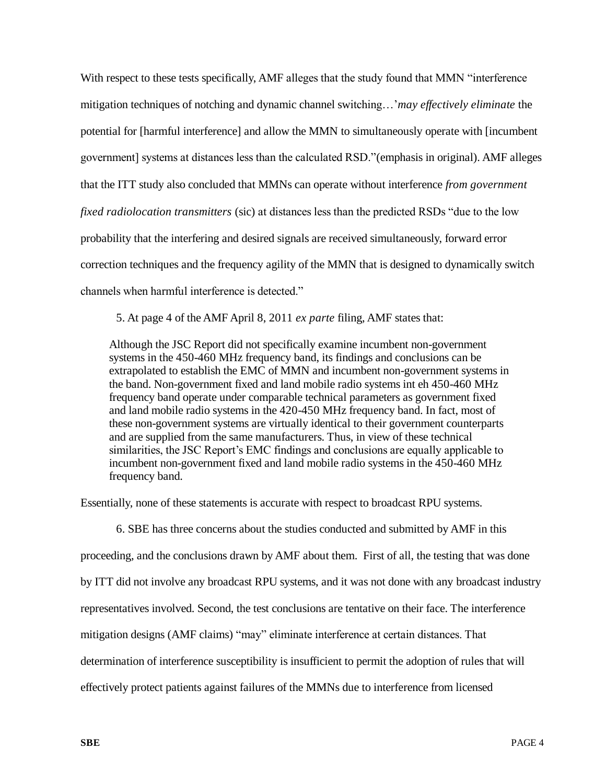With respect to these tests specifically, AMF alleges that the study found that MMN "interference mitigation techniques of notching and dynamic channel switching…'*may effectively eliminate* the potential for [harmful interference] and allow the MMN to simultaneously operate with [incumbent government] systems at distances less than the calculated RSD."(emphasis in original). AMF alleges that the ITT study also concluded that MMNs can operate without interference *from government fixed radiolocation transmitters* (sic) at distances less than the predicted RSDs "due to the low probability that the interfering and desired signals are received simultaneously, forward error correction techniques and the frequency agility of the MMN that is designed to dynamically switch channels when harmful interference is detected."

5. At page 4 of the AMF April 8, 2011 *ex parte* filing, AMF states that:

Although the JSC Report did not specifically examine incumbent non-government systems in the 450-460 MHz frequency band, its findings and conclusions can be extrapolated to establish the EMC of MMN and incumbent non-government systems in the band. Non-government fixed and land mobile radio systems int eh 450-460 MHz frequency band operate under comparable technical parameters as government fixed and land mobile radio systems in the 420-450 MHz frequency band. In fact, most of these non-government systems are virtually identical to their government counterparts and are supplied from the same manufacturers. Thus, in view of these technical similarities, the JSC Report's EMC findings and conclusions are equally applicable to incumbent non-government fixed and land mobile radio systems in the 450-460 MHz frequency band.

Essentially, none of these statements is accurate with respect to broadcast RPU systems.

6. SBE has three concerns about the studies conducted and submitted by AMF in this proceeding, and the conclusions drawn by AMF about them. First of all, the testing that was done by ITT did not involve any broadcast RPU systems, and it was not done with any broadcast industry representatives involved. Second, the test conclusions are tentative on their face. The interference mitigation designs (AMF claims) "may" eliminate interference at certain distances. That determination of interference susceptibility is insufficient to permit the adoption of rules that will effectively protect patients against failures of the MMNs due to interference from licensed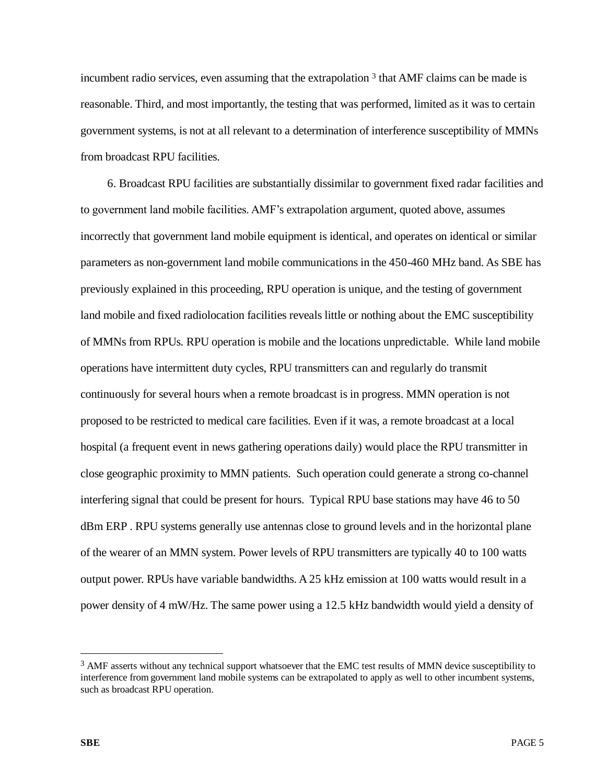incumbent radio services, even assuming that the extrapolation <sup>3</sup> that AMF claims can be made is reasonable. Third, and most importantly, the testing that was performed, limited as it was to certain government systems, is not at all relevant to a determination of interference susceptibility of MMNs from broadcast RPU facilities.

6. Broadcast RPU facilities are substantially dissimilar to government fixed radar facilities and to government land mobile facilities. AMF's extrapolation argument, quoted above, assumes incorrectly that government land mobile equipment is identical, and operates on identical or similar parameters as non-government land mobile communications in the 450-460 MHz band. As SBE has previously explained in this proceeding, RPU operation is unique, and the testing of government land mobile and fixed radiolocation facilities reveals little or nothing about the EMC susceptibility of MMNs from RPUs. RPU operation is mobile and the locations unpredictable. While land mobile operations have intermittent duty cycles, RPU transmitters can and regularly do transmit continuously for several hours when a remote broadcast is in progress. MMN operation is not proposed to be restricted to medical care facilities. Even if it was, a remote broadcast at a local hospital (a frequent event in news gathering operations daily) would place the RPU transmitter in close geographic proximity to MMN patients. Such operation could generate a strong co-channel interfering signal that could be present for hours. Typical RPU base stations may have 46 to 50 dBm ERP . RPU systems generally use antennas close to ground levels and in the horizontal plane of the wearer of an MMN system. Power levels of RPU transmitters are typically 40 to 100 watts output power. RPUs have variable bandwidths. A 25 kHz emission at 100 watts would result in a power density of 4 mW/Hz. The same power using a 12.5 kHz bandwidth would yield a density of

 $\overline{a}$ 

<sup>&</sup>lt;sup>3</sup> AMF asserts without any technical support whatsoever that the EMC test results of MMN device susceptibility to interference from government land mobile systems can be extrapolated to apply as well to other incumbent systems, such as broadcast RPU operation.